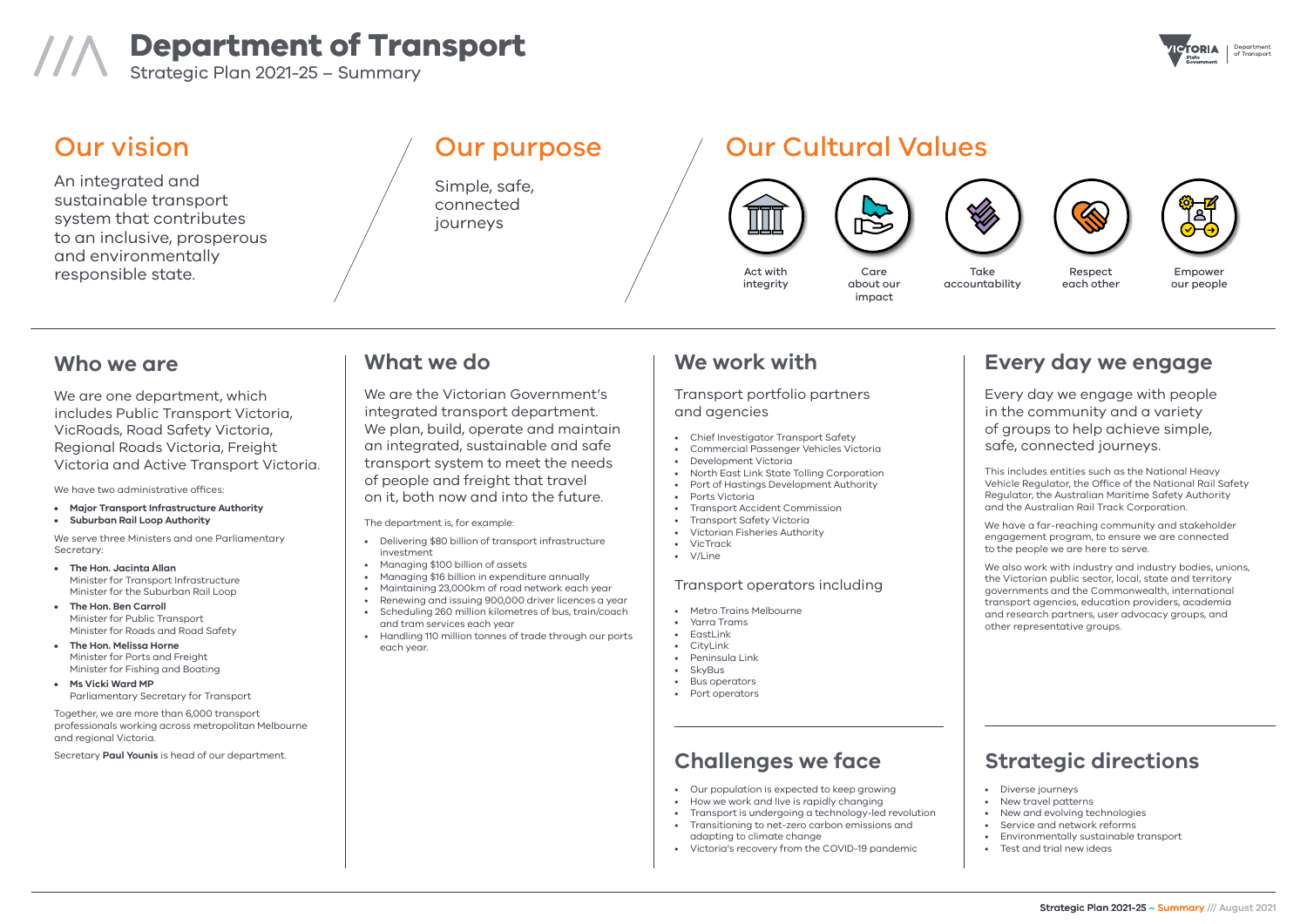Department





# **Department of Transport** of Transport ///\ Strategic Plan 2021-25 – Summary

## **Every day we engage**

Every day we engage with people in the community and a variety of groups to help achieve simple, safe, connected journeys.

This includes entities such as the National Heavy Vehicle Regulator, the Office of the National Rail Safety Regulator, the Australian Maritime Safety Authority and the Australian Rail Track Corporation.

We have a far-reaching community and stakeholder engagement program, to ensure we are connected to the people we are here to serve.

We also work with industry and industry bodies, unions, the Victorian public sector, local, state and territory governments and the Commonwealth, international transport agencies, education providers, academia and research partners, user advocacy groups, and other representative groups.

## **What we do**

We are the Victorian Government's integrated transport department. We plan, build, operate and maintain an integrated, sustainable and safe transport system to meet the needs of people and freight that travel on it, both now and into the future.

The department is, for example:

- Delivering \$80 billion of transport infrastructure investment
- Managing \$100 billion of assets
- Managing \$16 billion in expenditure annually
- Maintaining 23,000km of road network each year
- Renewing and issuing 900,000 driver licences a year
- Scheduling 260 million kilometres of bus, train/coach and tram services each year
- Handling 110 million tonnes of trade through our ports each year.

## **We work with**

#### Transport portfolio partners and agencies

- Chief Investigator Transport Safety
- Commercial Passenger Vehicles Victoria
- Development Victoria
- North East Link State Tolling Corporation
- Port of Hastings Development Authority
- Ports Victoria
- Transport Accident Commission
- Transport Safety Victoria
- Victorian Fisheries Authority
- VicTrack
- V/Line

### Transport operators including

- Metro Trains Melbourne
- Yarra Trams
- EastLink
- **CityLink**
- Peninsula Link
- SkyBus
- Bus operators
- Port operators

### **Who we are**

We are one department, which includes Public Transport Victoria, VicRoads, Road Safety Victoria, Regional Roads Victoria, Freight Victoria and Active Transport Victoria.

We have two administrative offices:

- **• Major Transport Infrastructure Authority**
- **• Suburban Rail Loop Authority**

We serve three Ministers and one Parliamentary Secretary:

- **• The Hon. Jacinta Allan**  Minister for Transport Infrastructure Minister for the Suburban Rail Loop
- **• The Hon. Ben Carroll**  Minister for Public Transport Minister for Roads and Road Safety
- **• The Hon. Melissa Horne**  Minister for Ports and Freight Minister for Fishing and Boating
- **• Ms Vicki Ward MP**  Parliamentary Secretary for Transport

Together, we are more than 6,000 transport professionals working across metropolitan Melbourne and regional Victoria.

Secretary **Paul Younis** is head of our department.



our people



Respect each other

Take accountability

Care about our impact

ICS



Act with integrity

## Our Cultural Values

An integrated and sustainable transport system that contributes to an inclusive, prosperous and environmentally responsible state.

## Our vision

Simple, safe, connected journeys

## Our purpose

## **Strategic directions**

- Diverse journeys
- New travel patterns
- New and evolving technologies
- Service and network reforms
- Environmentally sustainable transport
- Test and trial new ideas

## **Challenges we face**

- Our population is expected to keep growing
- How we work and live is rapidly changing
- Transport is undergoing a technology-led revolution
- Transitioning to net-zero carbon emissions and adapting to climate change
- Victoria's recovery from the COVID-19 pandemic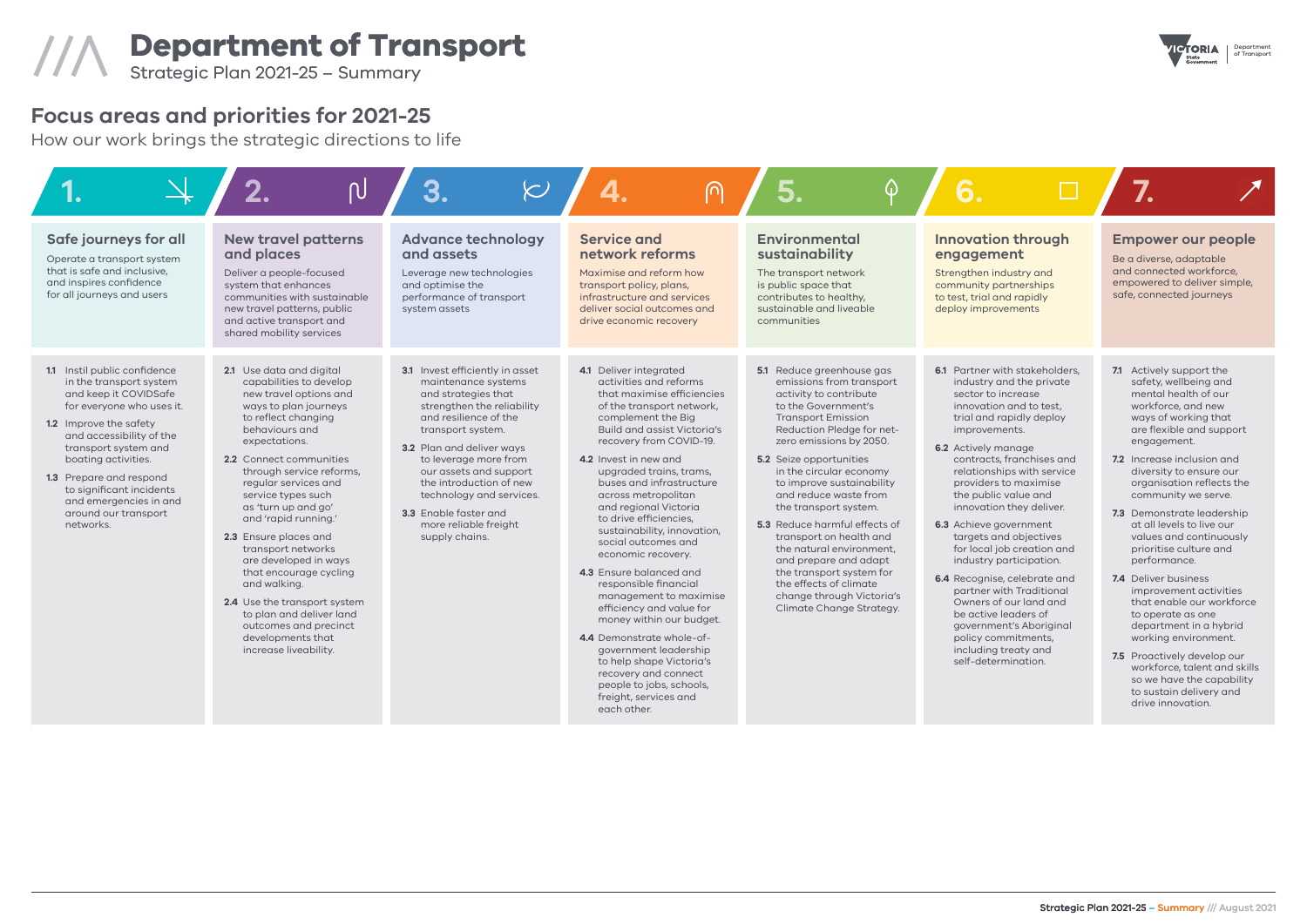Department

# **Department of Transport** of Transport ///\ Strategic Plan 2021-25 – Summary

| 1.                                                                                                                                                                                                                                                                                                                                       | $\overline{\mathsf{P}}$                                                                                                                                                                                                                                                                                                                                                                                                                                                                                                                                                   | $\left\langle \!\! \infty\right\rangle$                                                                                                                                                                                                                                                                                                                                     | ∩                                                                                                                                                                                                                                                                                                                                                                                                                                                                                                                                                                                                                                                                                                                                                            | $\Omega$                                                                                                                                                                                                                                                                                                                                                                                                                                                                                                                                                                |                                                                                                                                                                                                                                                                                                                                                                                                                                                                                                                                                                                                                                                     |                                                                                                                                                                                                                                                                 |
|------------------------------------------------------------------------------------------------------------------------------------------------------------------------------------------------------------------------------------------------------------------------------------------------------------------------------------------|---------------------------------------------------------------------------------------------------------------------------------------------------------------------------------------------------------------------------------------------------------------------------------------------------------------------------------------------------------------------------------------------------------------------------------------------------------------------------------------------------------------------------------------------------------------------------|-----------------------------------------------------------------------------------------------------------------------------------------------------------------------------------------------------------------------------------------------------------------------------------------------------------------------------------------------------------------------------|--------------------------------------------------------------------------------------------------------------------------------------------------------------------------------------------------------------------------------------------------------------------------------------------------------------------------------------------------------------------------------------------------------------------------------------------------------------------------------------------------------------------------------------------------------------------------------------------------------------------------------------------------------------------------------------------------------------------------------------------------------------|-------------------------------------------------------------------------------------------------------------------------------------------------------------------------------------------------------------------------------------------------------------------------------------------------------------------------------------------------------------------------------------------------------------------------------------------------------------------------------------------------------------------------------------------------------------------------|-----------------------------------------------------------------------------------------------------------------------------------------------------------------------------------------------------------------------------------------------------------------------------------------------------------------------------------------------------------------------------------------------------------------------------------------------------------------------------------------------------------------------------------------------------------------------------------------------------------------------------------------------------|-----------------------------------------------------------------------------------------------------------------------------------------------------------------------------------------------------------------------------------------------------------------|
| Safe journeys for all<br>Operate a transport system<br>that is safe and inclusive,<br>and inspires confidence<br>for all journeys and users                                                                                                                                                                                              | <b>New travel patterns</b><br>and places<br>Deliver a people-focused<br>system that enhances<br>communities with sustainable<br>new travel patterns, public<br>and active transport and<br>shared mobility services                                                                                                                                                                                                                                                                                                                                                       | <b>Advance technology</b><br>and assets<br>Leverage new technologies<br>and optimise the<br>performance of transport<br>system assets                                                                                                                                                                                                                                       | <b>Service and</b><br>network reforms<br>Maximise and reform how<br>transport policy, plans,<br>infrastructure and services<br>deliver social outcomes and<br>drive economic recovery                                                                                                                                                                                                                                                                                                                                                                                                                                                                                                                                                                        | <b>Environmental</b><br>sustainability<br>The transport network<br>is public space that<br>contributes to healthy,<br>sustainable and liveable<br>communities                                                                                                                                                                                                                                                                                                                                                                                                           | <b>Innovation through</b><br>engagement<br>Strengthen industry and<br>community partnerships<br>to test, trial and rapidly<br>deploy improvements                                                                                                                                                                                                                                                                                                                                                                                                                                                                                                   | <b>Empo</b><br>Be a dive<br>and con<br>empowe<br>safe, cor                                                                                                                                                                                                      |
| 1.1 Instil public confidence<br>in the transport system<br>and keep it COVIDSafe<br>for everyone who uses it.<br>1.2 Improve the safety<br>and accessibility of the<br>transport system and<br>boating activities.<br>1.3 Prepare and respond<br>to significant incidents<br>and emergencies in and<br>around our transport<br>networks. | 2.1 Use data and digital<br>capabilities to develop<br>new travel options and<br>ways to plan journeys<br>to reflect changing<br>behaviours and<br>expectations.<br>2.2 Connect communities<br>through service reforms,<br>regular services and<br>service types such<br>as 'turn up and go'<br>and 'rapid running.'<br>2.3 Ensure places and<br>transport networks<br>are developed in ways<br>that encourage cycling<br>and walking.<br>2.4 Use the transport system<br>to plan and deliver land<br>outcomes and precinct<br>developments that<br>increase liveability. | <b>3.1</b> Invest efficiently in asset<br>maintenance systems<br>and strategies that<br>strengthen the reliability<br>and resilience of the<br>transport system.<br>3.2 Plan and deliver ways<br>to leverage more from<br>our assets and support<br>the introduction of new<br>technology and services.<br>3.3 Enable faster and<br>more reliable freight<br>supply chains. | 4.1 Deliver integrated<br>activities and reforms<br>that maximise efficiencies<br>of the transport network,<br>complement the Big<br><b>Build and assist Victoria's</b><br>recovery from COVID-19.<br>4.2 Invest in new and<br>upgraded trains, trams,<br>buses and infrastructure<br>across metropolitan<br>and regional Victoria<br>to drive efficiencies,<br>sustainability, innovation,<br>social outcomes and<br>economic recovery.<br>4.3 Ensure balanced and<br>responsible financial<br>management to maximise<br>efficiency and value for<br>money within our budget.<br>4.4 Demonstrate whole-of-<br>government leadership<br>to help shape Victoria's<br>recovery and connect<br>people to jobs, schools,<br>freight, services and<br>each other. | 5.1 Reduce greenhouse gas<br>emissions from transport<br>activity to contribute<br>to the Government's<br><b>Transport Emission</b><br>Reduction Pledge for net-<br>zero emissions by 2050.<br><b>5.2</b> Seize opportunities<br>in the circular economy<br>to improve sustainability<br>and reduce waste from<br>the transport system.<br>5.3 Reduce harmful effects of<br>transport on health and<br>the natural environment.<br>and prepare and adapt<br>the transport system for<br>the effects of climate<br>change through Victoria's<br>Climate Change Strategy. | 6.1 Partner with stakeholders,<br>industry and the private<br>sector to increase<br>innovation and to test.<br>trial and rapidly deploy<br>improvements.<br>6.2 Actively manage<br>contracts, franchises and<br>relationships with service<br>providers to maximise<br>the public value and<br>innovation they deliver.<br>6.3 Achieve government<br>targets and objectives<br>for local job creation and<br>industry participation.<br>6.4 Recognise, celebrate and<br>partner with Traditional<br>Owners of our land and<br>be active leaders of<br>government's Aboriginal<br>policy commitments,<br>including treaty and<br>self-determination. | 7.1 Activ<br>safe<br>men<br>work<br>ways<br>are f<br>engo<br>$7.2$ Incre<br>diver<br>orga<br>com<br><b>7.3</b> Dem<br>at al<br>valu<br>prior<br>perf<br>7.4 Deliv<br>impr<br>that<br>to or<br>depo<br>work<br><b>7.5</b> Prog<br>work<br>SO W<br>to su<br>drive |



## **Focus areas and priorities for 2021-25**

How our work brings the strategic directions to life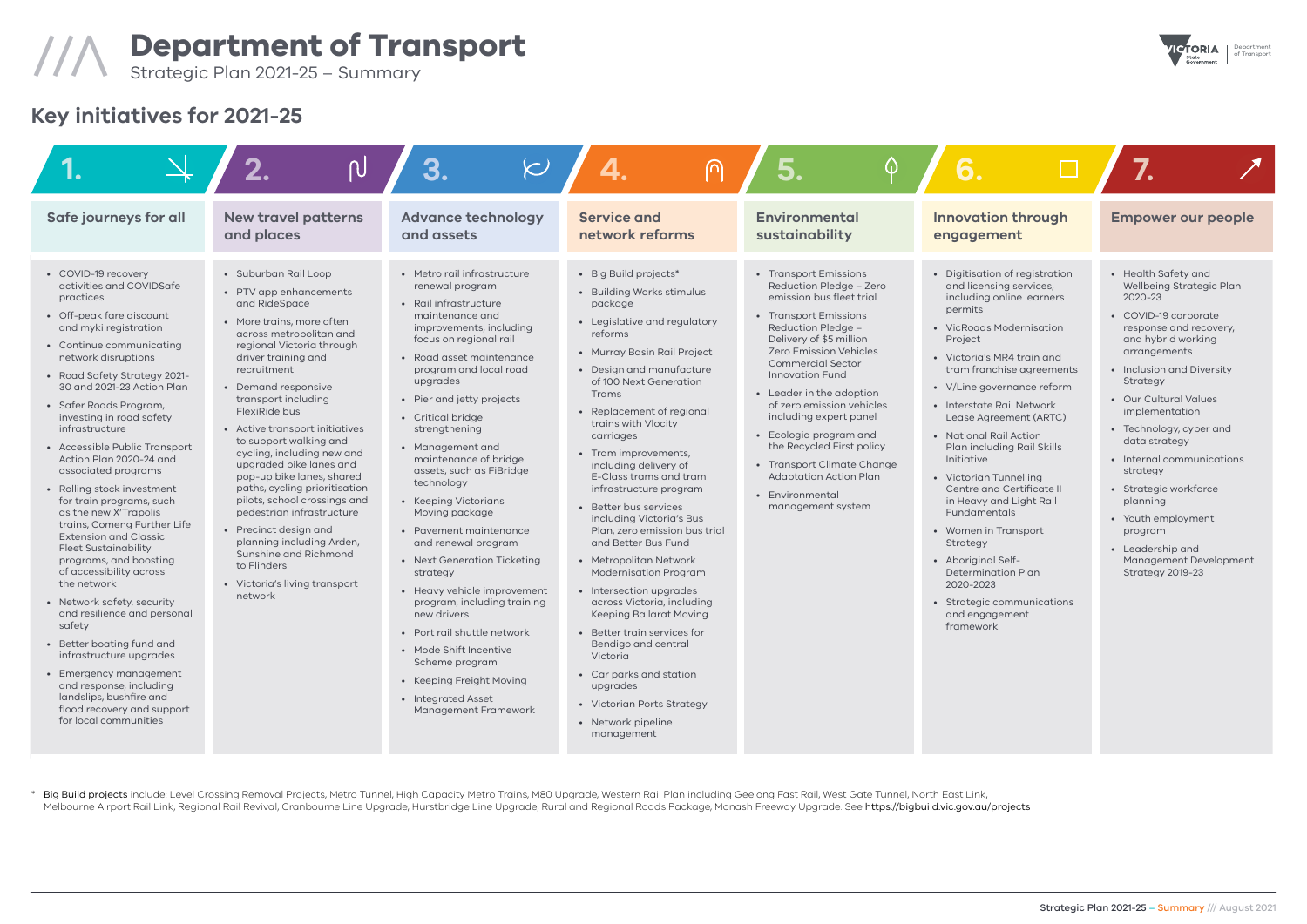Department

# **Department of Transport** of Transport ///\ Strategic Plan 2021-25 – Summary

| Safe journeys for all                                                                                                                                                                                                                                                                                                                                                                                                                                                                                                                                                                                                                                                                                                                                                                                                                                                                                                    | <b>New travel patterns</b><br>and places                                                                                                                                                                                                                                                                                                                                                                                                                                                                                                                                                                                                            | <b>Advance technology</b><br>and assets                                                                                                                                                                                                                                                                                                                                                                                                                                                                                                                                                                                                                                                                                                             | <b>Service and</b><br>network reforms                                                                                                                                                                                                                                                                                                                                                                                                                                                                                                                                                                                                                                                                                                                                                                                            | <b>Environmental</b><br>sustainability                                                                                                                                                                                                                                                                                                                                                                                                                                                         | <b>Innovation through</b><br>engagement                                                                                                                                                                                                                                                                                                                                                                                                                                                                                                                                                                                           | <b>Empo</b>                                                                                                                                                                                                                                        |
|--------------------------------------------------------------------------------------------------------------------------------------------------------------------------------------------------------------------------------------------------------------------------------------------------------------------------------------------------------------------------------------------------------------------------------------------------------------------------------------------------------------------------------------------------------------------------------------------------------------------------------------------------------------------------------------------------------------------------------------------------------------------------------------------------------------------------------------------------------------------------------------------------------------------------|-----------------------------------------------------------------------------------------------------------------------------------------------------------------------------------------------------------------------------------------------------------------------------------------------------------------------------------------------------------------------------------------------------------------------------------------------------------------------------------------------------------------------------------------------------------------------------------------------------------------------------------------------------|-----------------------------------------------------------------------------------------------------------------------------------------------------------------------------------------------------------------------------------------------------------------------------------------------------------------------------------------------------------------------------------------------------------------------------------------------------------------------------------------------------------------------------------------------------------------------------------------------------------------------------------------------------------------------------------------------------------------------------------------------------|----------------------------------------------------------------------------------------------------------------------------------------------------------------------------------------------------------------------------------------------------------------------------------------------------------------------------------------------------------------------------------------------------------------------------------------------------------------------------------------------------------------------------------------------------------------------------------------------------------------------------------------------------------------------------------------------------------------------------------------------------------------------------------------------------------------------------------|------------------------------------------------------------------------------------------------------------------------------------------------------------------------------------------------------------------------------------------------------------------------------------------------------------------------------------------------------------------------------------------------------------------------------------------------------------------------------------------------|-----------------------------------------------------------------------------------------------------------------------------------------------------------------------------------------------------------------------------------------------------------------------------------------------------------------------------------------------------------------------------------------------------------------------------------------------------------------------------------------------------------------------------------------------------------------------------------------------------------------------------------|----------------------------------------------------------------------------------------------------------------------------------------------------------------------------------------------------------------------------------------------------|
| • COVID-19 recovery<br>activities and COVIDSafe<br>practices<br>• Off-peak fare discount<br>and myki registration<br>• Continue communicating<br>network disruptions<br>• Road Safety Strategy 2021-<br>30 and 2021-23 Action Plan<br>· Safer Roads Program,<br>investing in road safety<br>infrastructure<br>• Accessible Public Transport<br>Action Plan 2020-24 and<br>associated programs<br>• Rolling stock investment<br>for train programs, such<br>as the new X'Trapolis<br>trains, Comeng Further Life<br><b>Extension and Classic</b><br><b>Fleet Sustainability</b><br>programs, and boosting<br>of accessibility across<br>the network<br>• Network safety, security<br>and resilience and personal<br>safety<br>• Better boating fund and<br>infrastructure upgrades<br>• Emergency management<br>and response, including<br>landslips, bushfire and<br>flood recovery and support<br>for local communities | • Suburban Rail Loop<br>• PTV app enhancements<br>and RideSpace<br>• More trains, more often<br>across metropolitan and<br>regional Victoria through<br>driver training and<br>recruitment<br>• Demand responsive<br>transport including<br>FlexiRide bus<br>• Active transport initiatives<br>to support walking and<br>cycling, including new and<br>upgraded bike lanes and<br>pop-up bike lanes, shared<br>paths, cycling prioritisation<br>pilots, school crossings and<br>pedestrian infrastructure<br>• Precinct design and<br>planning including Arden,<br>Sunshine and Richmond<br>to Flinders<br>• Victoria's living transport<br>network | • Metro rail infrastructure<br>renewal program<br>• Rail infrastructure<br>maintenance and<br>improvements, including<br>focus on regional rail<br>• Road asset maintenance<br>program and local road<br>upgrades<br>• Pier and jetty projects<br>• Critical bridge<br>strengthening<br>• Management and<br>maintenance of bridge<br>assets, such as FiBridge<br>technology<br>• Keeping Victorians<br>Moving package<br>• Pavement maintenance<br>and renewal program<br>• Next Generation Ticketing<br>strategy<br>• Heavy vehicle improvement<br>program, including training<br>new drivers<br>• Port rail shuttle network<br>• Mode Shift Incentive<br>Scheme program<br>• Keeping Freight Moving<br>• Integrated Asset<br>Management Framework | • Big Build projects*<br>• Building Works stimulus<br>package<br>• Legislative and regulatory<br>reforms<br>• Murray Basin Rail Project<br>• Design and manufacture<br>of 100 Next Generation<br><b>Trams</b><br>• Replacement of regional<br>trains with Vlocity<br>carriages<br>• Tram improvements,<br>including delivery of<br>E-Class trams and tram<br>infrastructure program<br>• Better bus services<br>including Victoria's Bus<br>Plan, zero emission bus trial<br>and Better Bus Fund<br>• Metropolitan Network<br><b>Modernisation Program</b><br>• Intersection upgrades<br>across Victoria, including<br><b>Keeping Ballarat Moving</b><br>• Better train services for<br>Bendigo and central<br>Victoria<br>• Car parks and station<br>upgrades<br>• Victorian Ports Strategy<br>• Network pipeline<br>management | • Transport Emissions<br>Reduction Pledge - Zero<br>emission bus fleet trial<br>• Transport Emissions<br>Reduction Pledge -<br>Delivery of \$5 million<br><b>Zero Emission Vehicles</b><br><b>Commercial Sector</b><br><b>Innovation Fund</b><br>• Leader in the adoption<br>of zero emission vehicles<br>including expert panel<br>• Ecologiq program and<br>the Recycled First policy<br>• Transport Climate Change<br><b>Adaptation Action Plan</b><br>• Environmental<br>management system | • Digitisation of registration<br>and licensing services,<br>including online learners<br>permits<br>• VicRoads Modernisation<br>Project<br>• Victoria's MR4 train and<br>tram franchise agreements<br>• V/Line governance reform<br>• Interstate Rail Network<br>Lease Agreement (ARTC)<br>• National Rail Action<br>Plan including Rail Skills<br>Initiative<br>• Victorian Tunnelling<br>Centre and Certificate II<br>in Heavy and Light Rail<br><b>Fundamentals</b><br>• Women in Transport<br>Strategy<br>• Aboriginal Self-<br>Determination Plan<br>2020-2023<br>• Strategic communications<br>and engagement<br>framework | • Health<br>Wellbe<br>$2020 - 2$<br>· COVID<br>respor<br>and hy<br>arrang<br>· Inclusi<br>Strate<br>· Our Cu<br>impler<br>• Techn<br>data s<br>$\bullet$ Intern<br>strate<br>• Strate<br>planni<br>• Youth<br>progro<br>• Leade<br>Manag<br>Strate |

\* Big Build projects include: Level Crossing Removal Projects, Metro Tunnel, High Capacity Metro Trains, M80 Upgrade, Western Rail Plan including Geelong Fast Rail, West Gate Tunnel, North East Link, Melbourne Airport Rail Link, Regional Rail Revival, Cranbourne Line Upgrade, Hurstbridge Line Upgrade, Rural and Regional Roads Package, Monash Freeway Upgrade. See https://bigbuild.vic.gov.au/projects



## **Key initiatives for 2021-25**